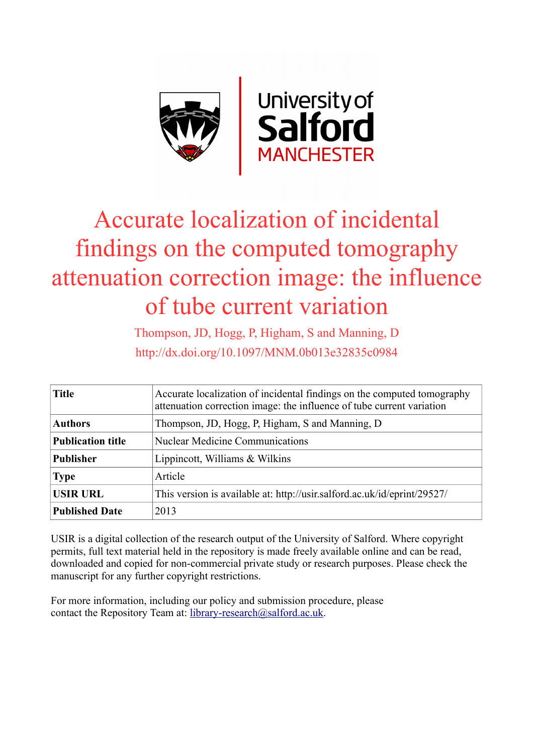

## Accurate localization of incidental findings on the computed tomography attenuation correction image: the influence of tube current variation

Thompson, JD, Hogg, P, Higham, S and Manning, D http://dx.doi.org/10.1097/MNM.0b013e32835c0984

| <b>Title</b>             | Accurate localization of incidental findings on the computed tomography<br>attenuation correction image: the influence of tube current variation |
|--------------------------|--------------------------------------------------------------------------------------------------------------------------------------------------|
| <b>Authors</b>           | Thompson, JD, Hogg, P, Higham, S and Manning, D                                                                                                  |
| <b>Publication title</b> | <b>Nuclear Medicine Communications</b>                                                                                                           |
| <b>Publisher</b>         | Lippincott, Williams & Wilkins                                                                                                                   |
| <b>Type</b>              | Article                                                                                                                                          |
| <b>USIR URL</b>          | This version is available at: http://usir.salford.ac.uk/id/eprint/29527/                                                                         |
| <b>Published Date</b>    | 2013                                                                                                                                             |

USIR is a digital collection of the research output of the University of Salford. Where copyright permits, full text material held in the repository is made freely available online and can be read, downloaded and copied for non-commercial private study or research purposes. Please check the manuscript for any further copyright restrictions.

For more information, including our policy and submission procedure, please contact the Repository Team at: [library-research@salford.ac.uk.](mailto:library-research@salford.ac.uk)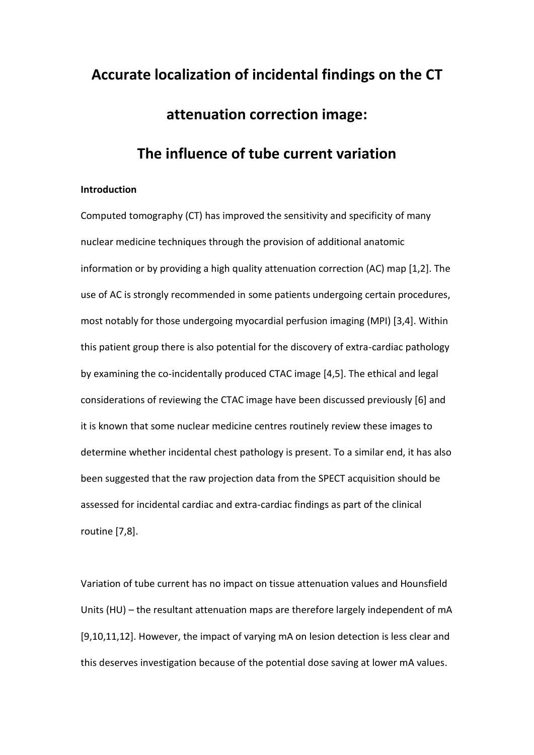# **Accurate localization of incidental findings on the CT attenuation correction image: The influence of tube current variation**

## **Introduction**

Computed tomography (CT) has improved the sensitivity and specificity of many nuclear medicine techniques through the provision of additional anatomic information or by providing a high quality attenuation correction (AC) map [1,2]. The use of AC is strongly recommended in some patients undergoing certain procedures, most notably for those undergoing myocardial perfusion imaging (MPI) [3,4]. Within this patient group there is also potential for the discovery of extra-cardiac pathology by examining the co-incidentally produced CTAC image [4,5]. The ethical and legal considerations of reviewing the CTAC image have been discussed previously [6] and it is known that some nuclear medicine centres routinely review these images to determine whether incidental chest pathology is present. To a similar end, it has also been suggested that the raw projection data from the SPECT acquisition should be assessed for incidental cardiac and extra-cardiac findings as part of the clinical routine [7,8].

Variation of tube current has no impact on tissue attenuation values and Hounsfield Units (HU) – the resultant attenuation maps are therefore largely independent of mA [9,10,11,12]. However, the impact of varying mA on lesion detection is less clear and this deserves investigation because of the potential dose saving at lower mA values.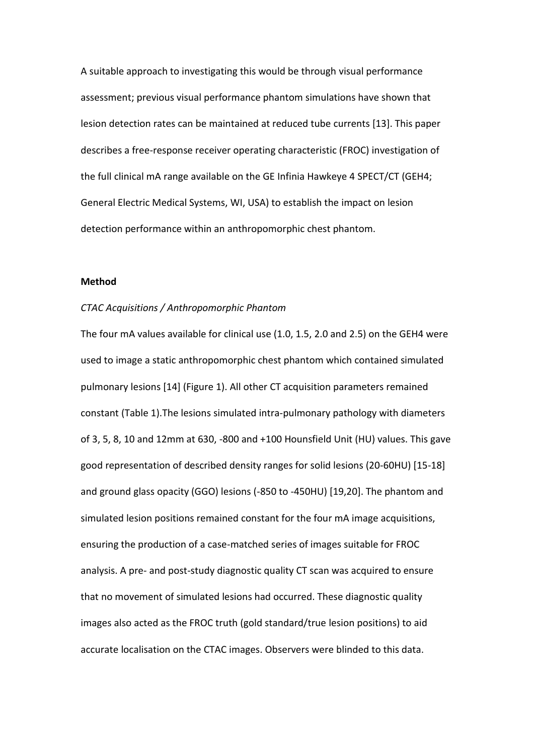A suitable approach to investigating this would be through visual performance assessment; previous visual performance phantom simulations have shown that lesion detection rates can be maintained at reduced tube currents [13]. This paper describes a free-response receiver operating characteristic (FROC) investigation of the full clinical mA range available on the GE Infinia Hawkeye 4 SPECT/CT (GEH4; General Electric Medical Systems, WI, USA) to establish the impact on lesion detection performance within an anthropomorphic chest phantom.

## **Method**

## *CTAC Acquisitions / Anthropomorphic Phantom*

The four mA values available for clinical use (1.0, 1.5, 2.0 and 2.5) on the GEH4 were used to image a static anthropomorphic chest phantom which contained simulated pulmonary lesions [14] (Figure 1). All other CT acquisition parameters remained constant (Table 1).The lesions simulated intra-pulmonary pathology with diameters of 3, 5, 8, 10 and 12mm at 630, -800 and +100 Hounsfield Unit (HU) values. This gave good representation of described density ranges for solid lesions (20-60HU) [15-18] and ground glass opacity (GGO) lesions (-850 to -450HU) [19,20]. The phantom and simulated lesion positions remained constant for the four mA image acquisitions, ensuring the production of a case-matched series of images suitable for FROC analysis. A pre- and post-study diagnostic quality CT scan was acquired to ensure that no movement of simulated lesions had occurred. These diagnostic quality images also acted as the FROC truth (gold standard/true lesion positions) to aid accurate localisation on the CTAC images. Observers were blinded to this data.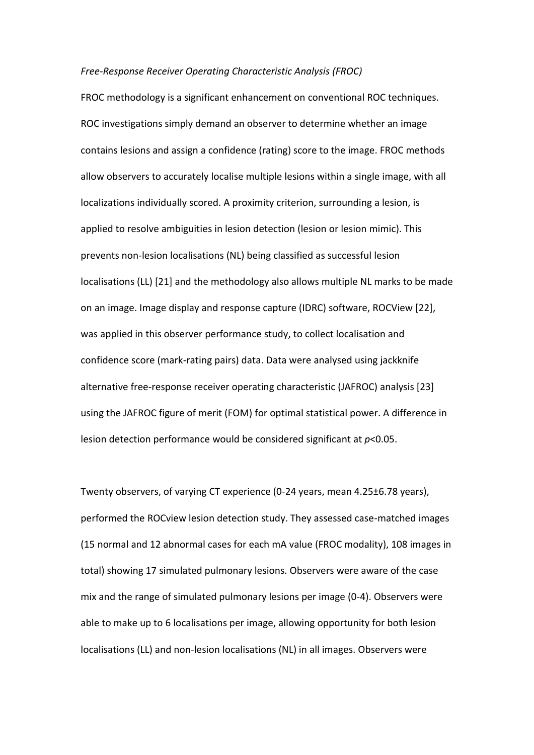#### *Free-Response Receiver Operating Characteristic Analysis (FROC)*

FROC methodology is a significant enhancement on conventional ROC techniques. ROC investigations simply demand an observer to determine whether an image contains lesions and assign a confidence (rating) score to the image. FROC methods allow observers to accurately localise multiple lesions within a single image, with all localizations individually scored. A proximity criterion, surrounding a lesion, is applied to resolve ambiguities in lesion detection (lesion or lesion mimic). This prevents non-lesion localisations (NL) being classified as successful lesion localisations (LL) [21] and the methodology also allows multiple NL marks to be made on an image. Image display and response capture (IDRC) software, ROCView [22], was applied in this observer performance study, to collect localisation and confidence score (mark-rating pairs) data. Data were analysed using jackknife alternative free-response receiver operating characteristic (JAFROC) analysis [23] using the JAFROC figure of merit (FOM) for optimal statistical power. A difference in lesion detection performance would be considered significant at *p*<0.05.

Twenty observers, of varying CT experience (0-24 years, mean 4.25±6.78 years), performed the ROCview lesion detection study. They assessed case-matched images (15 normal and 12 abnormal cases for each mA value (FROC modality), 108 images in total) showing 17 simulated pulmonary lesions. Observers were aware of the case mix and the range of simulated pulmonary lesions per image (0-4). Observers were able to make up to 6 localisations per image, allowing opportunity for both lesion localisations (LL) and non-lesion localisations (NL) in all images. Observers were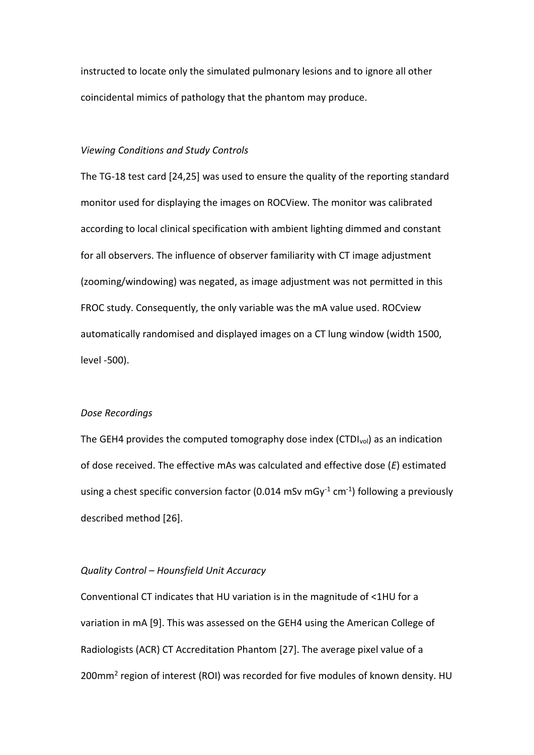instructed to locate only the simulated pulmonary lesions and to ignore all other coincidental mimics of pathology that the phantom may produce.

#### *Viewing Conditions and Study Controls*

The TG-18 test card [24,25] was used to ensure the quality of the reporting standard monitor used for displaying the images on ROCView. The monitor was calibrated according to local clinical specification with ambient lighting dimmed and constant for all observers. The influence of observer familiarity with CT image adjustment (zooming/windowing) was negated, as image adjustment was not permitted in this FROC study. Consequently, the only variable was the mA value used. ROCview automatically randomised and displayed images on a CT lung window (width 1500, level -500).

#### *Dose Recordings*

The GEH4 provides the computed tomography dose index  $(CTDI<sub>vol</sub>)$  as an indication of dose received. The effective mAs was calculated and effective dose (*E*) estimated using a chest specific conversion factor (0.014 mSv mGy $^{-1}$  cm $^{-1}$ ) following a previously described method [26].

#### *Quality Control – Hounsfield Unit Accuracy*

Conventional CT indicates that HU variation is in the magnitude of <1HU for a variation in mA [9]. This was assessed on the GEH4 using the American College of Radiologists (ACR) CT Accreditation Phantom [27]. The average pixel value of a 200mm<sup>2</sup> region of interest (ROI) was recorded for five modules of known density. HU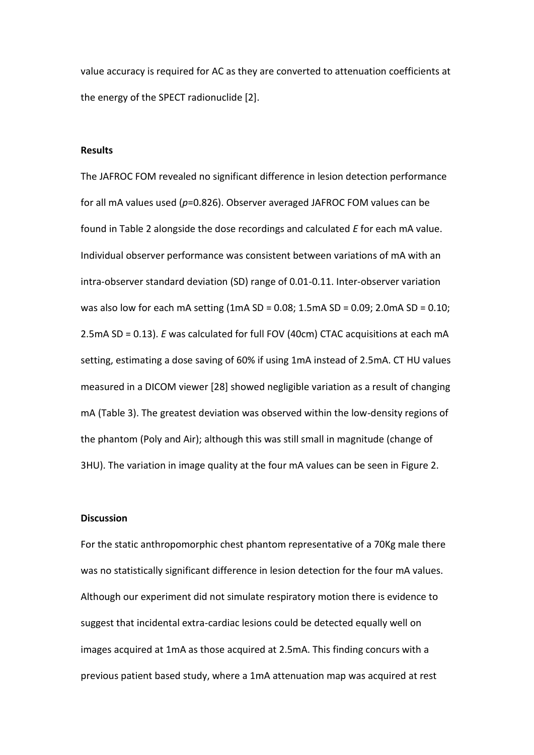value accuracy is required for AC as they are converted to attenuation coefficients at the energy of the SPECT radionuclide [2].

## **Results**

The JAFROC FOM revealed no significant difference in lesion detection performance for all mA values used (*p*=0.826). Observer averaged JAFROC FOM values can be found in Table 2 alongside the dose recordings and calculated *E* for each mA value. Individual observer performance was consistent between variations of mA with an intra-observer standard deviation (SD) range of 0.01-0.11. Inter-observer variation was also low for each mA setting (1mA SD = 0.08; 1.5mA SD = 0.09; 2.0mA SD = 0.10; 2.5mA SD = 0.13). *E* was calculated for full FOV (40cm) CTAC acquisitions at each mA setting, estimating a dose saving of 60% if using 1mA instead of 2.5mA. CT HU values measured in a DICOM viewer [28] showed negligible variation as a result of changing mA (Table 3). The greatest deviation was observed within the low-density regions of the phantom (Poly and Air); although this was still small in magnitude (change of 3HU). The variation in image quality at the four mA values can be seen in Figure 2.

## **Discussion**

For the static anthropomorphic chest phantom representative of a 70Kg male there was no statistically significant difference in lesion detection for the four mA values. Although our experiment did not simulate respiratory motion there is evidence to suggest that incidental extra-cardiac lesions could be detected equally well on images acquired at 1mA as those acquired at 2.5mA. This finding concurs with a previous patient based study, where a 1mA attenuation map was acquired at rest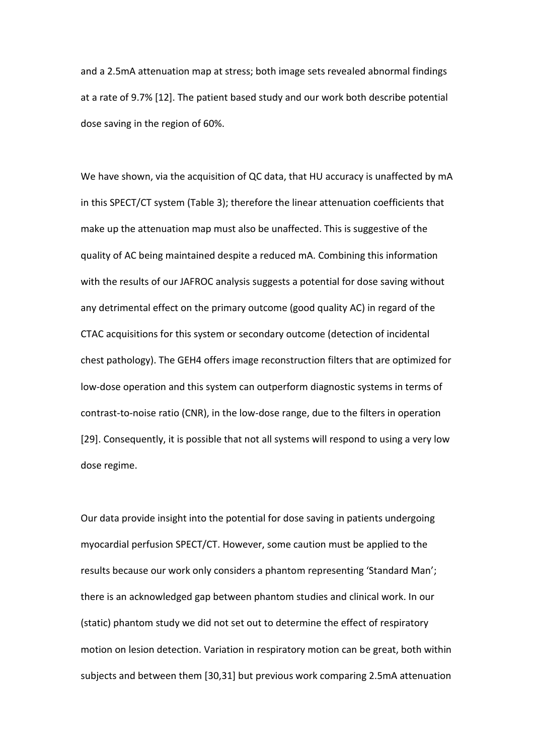and a 2.5mA attenuation map at stress; both image sets revealed abnormal findings at a rate of 9.7% [12]. The patient based study and our work both describe potential dose saving in the region of 60%.

We have shown, via the acquisition of QC data, that HU accuracy is unaffected by mA in this SPECT/CT system (Table 3); therefore the linear attenuation coefficients that make up the attenuation map must also be unaffected. This is suggestive of the quality of AC being maintained despite a reduced mA. Combining this information with the results of our JAFROC analysis suggests a potential for dose saving without any detrimental effect on the primary outcome (good quality AC) in regard of the CTAC acquisitions for this system or secondary outcome (detection of incidental chest pathology). The GEH4 offers image reconstruction filters that are optimized for low-dose operation and this system can outperform diagnostic systems in terms of contrast-to-noise ratio (CNR), in the low-dose range, due to the filters in operation [29]. Consequently, it is possible that not all systems will respond to using a very low dose regime.

Our data provide insight into the potential for dose saving in patients undergoing myocardial perfusion SPECT/CT. However, some caution must be applied to the results because our work only considers a phantom representing 'Standard Man'; there is an acknowledged gap between phantom studies and clinical work. In our (static) phantom study we did not set out to determine the effect of respiratory motion on lesion detection. Variation in respiratory motion can be great, both within subjects and between them [30,31] but previous work comparing 2.5mA attenuation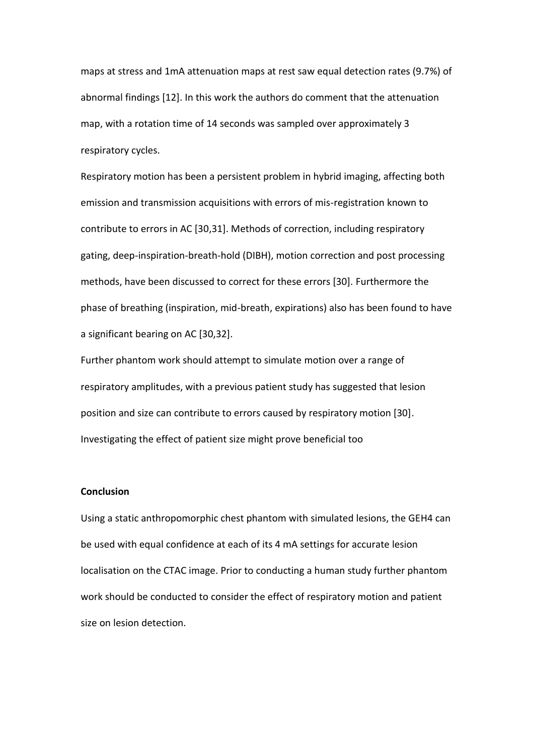maps at stress and 1mA attenuation maps at rest saw equal detection rates (9.7%) of abnormal findings [12]. In this work the authors do comment that the attenuation map, with a rotation time of 14 seconds was sampled over approximately 3 respiratory cycles.

Respiratory motion has been a persistent problem in hybrid imaging, affecting both emission and transmission acquisitions with errors of mis-registration known to contribute to errors in AC [30,31]. Methods of correction, including respiratory gating, deep-inspiration-breath-hold (DIBH), motion correction and post processing methods, have been discussed to correct for these errors [30]. Furthermore the phase of breathing (inspiration, mid-breath, expirations) also has been found to have a significant bearing on AC [30,32].

Further phantom work should attempt to simulate motion over a range of respiratory amplitudes, with a previous patient study has suggested that lesion position and size can contribute to errors caused by respiratory motion [30]. Investigating the effect of patient size might prove beneficial too

## **Conclusion**

Using a static anthropomorphic chest phantom with simulated lesions, the GEH4 can be used with equal confidence at each of its 4 mA settings for accurate lesion localisation on the CTAC image. Prior to conducting a human study further phantom work should be conducted to consider the effect of respiratory motion and patient size on lesion detection.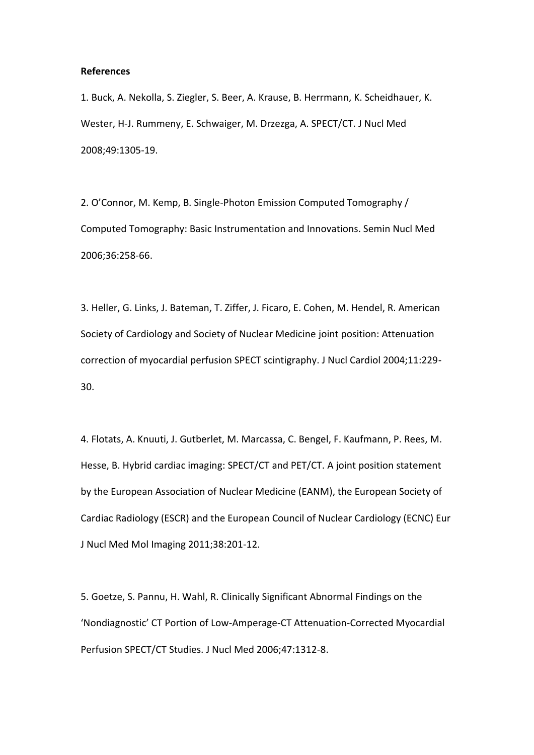## **References**

1. Buck, A. Nekolla, S. Ziegler, S. Beer, A. Krause, B. Herrmann, K. Scheidhauer, K. Wester, H-J. Rummeny, E. Schwaiger, M. Drzezga, A. SPECT/CT. J Nucl Med 2008;49:1305-19.

2. O'Connor, M. Kemp, B. Single-Photon Emission Computed Tomography / Computed Tomography: Basic Instrumentation and Innovations. Semin Nucl Med 2006;36:258-66.

3. Heller, G. Links, J. Bateman, T. Ziffer, J. Ficaro, E. Cohen, M. Hendel, R. American Society of Cardiology and Society of Nuclear Medicine joint position: Attenuation correction of myocardial perfusion SPECT scintigraphy. J Nucl Cardiol 2004;11:229- 30.

4. Flotats, A. Knuuti, J. Gutberlet, M. Marcassa, C. Bengel, F. Kaufmann, P. Rees, M. Hesse, B. Hybrid cardiac imaging: SPECT/CT and PET/CT. A joint position statement by the European Association of Nuclear Medicine (EANM), the European Society of Cardiac Radiology (ESCR) and the European Council of Nuclear Cardiology (ECNC) Eur J Nucl Med Mol Imaging 2011;38:201-12.

5. Goetze, S. Pannu, H. Wahl, R. Clinically Significant Abnormal Findings on the 'Nondiagnostic' CT Portion of Low-Amperage-CT Attenuation-Corrected Myocardial Perfusion SPECT/CT Studies. J Nucl Med 2006;47:1312-8.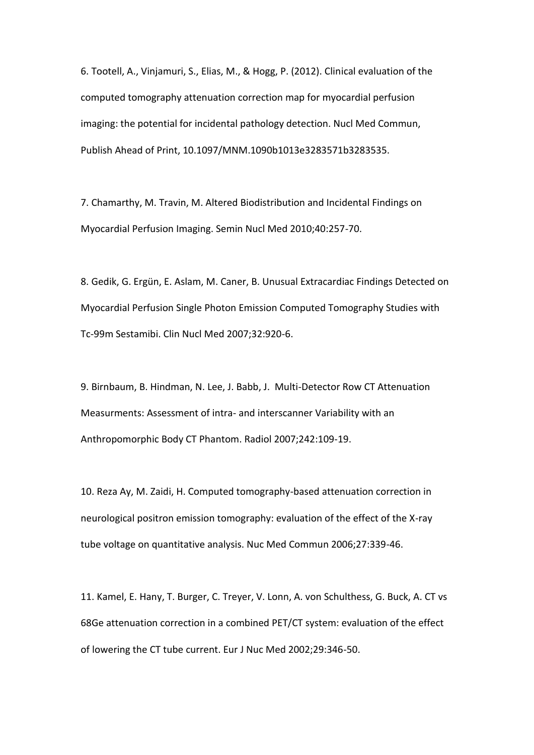6. Tootell, A., Vinjamuri, S., Elias, M., & Hogg, P. (2012). Clinical evaluation of the computed tomography attenuation correction map for myocardial perfusion imaging: the potential for incidental pathology detection. Nucl Med Commun, Publish Ahead of Print, 10.1097/MNM.1090b1013e3283571b3283535.

7. Chamarthy, M. Travin, M. Altered Biodistribution and Incidental Findings on Myocardial Perfusion Imaging. Semin Nucl Med 2010;40:257-70.

8. Gedik, G. Ergün, E. Aslam, M. Caner, B. Unusual Extracardiac Findings Detected on Myocardial Perfusion Single Photon Emission Computed Tomography Studies with Tc-99m Sestamibi. Clin Nucl Med 2007;32:920-6.

9. Birnbaum, B. Hindman, N. Lee, J. Babb, J. Multi-Detector Row CT Attenuation Measurments: Assessment of intra- and interscanner Variability with an Anthropomorphic Body CT Phantom. Radiol 2007;242:109-19.

10. Reza Ay, M. Zaidi, H. Computed tomography-based attenuation correction in neurological positron emission tomography: evaluation of the effect of the X-ray tube voltage on quantitative analysis. Nuc Med Commun 2006;27:339-46.

11. Kamel, E. Hany, T. Burger, C. Treyer, V. Lonn, A. von Schulthess, G. Buck, A. CT vs 68Ge attenuation correction in a combined PET/CT system: evaluation of the effect of lowering the CT tube current. Eur J Nuc Med 2002;29:346-50.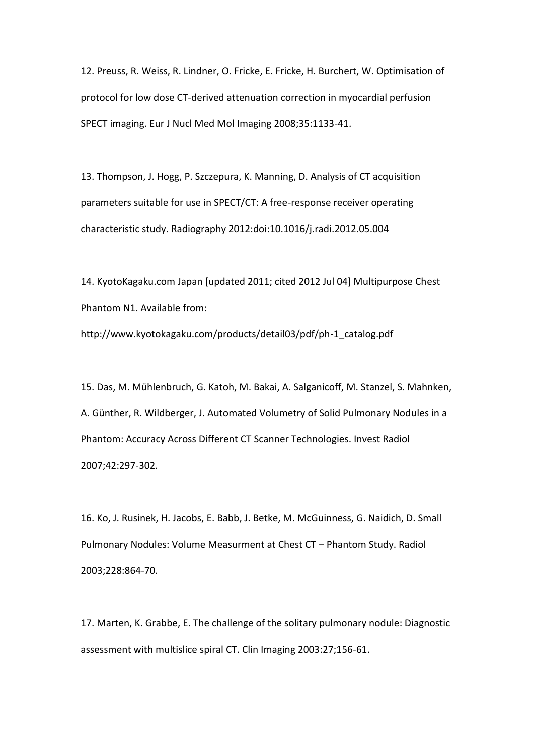12. Preuss, R. Weiss, R. Lindner, O. Fricke, E. Fricke, H. Burchert, W. Optimisation of protocol for low dose CT-derived attenuation correction in myocardial perfusion SPECT imaging. Eur J Nucl Med Mol Imaging 2008;35:1133-41.

13. Thompson, J. Hogg, P. Szczepura, K. Manning, D. Analysis of CT acquisition parameters suitable for use in SPECT/CT: A free-response receiver operating characteristic study. Radiography 2012:doi:10.1016/j.radi.2012.05.004

14. KyotoKagaku.com Japan [updated 2011; cited 2012 Jul 04] Multipurpose Chest Phantom N1. Available from:

http://www.kyotokagaku.com/products/detail03/pdf/ph-1\_catalog.pdf

15. Das, M. Mühlenbruch, G. Katoh, M. Bakai, A. Salganicoff, M. Stanzel, S. Mahnken, A. Günther, R. Wildberger, J. Automated Volumetry of Solid Pulmonary Nodules in a Phantom: Accuracy Across Different CT Scanner Technologies. Invest Radiol 2007;42:297-302.

16. Ko, J. Rusinek, H. Jacobs, E. Babb, J. Betke, M. McGuinness, G. Naidich, D. Small Pulmonary Nodules: Volume Measurment at Chest CT – Phantom Study. Radiol 2003;228:864-70.

17. Marten, K. Grabbe, E. The challenge of the solitary pulmonary nodule: Diagnostic assessment with multislice spiral CT. Clin Imaging 2003:27;156-61.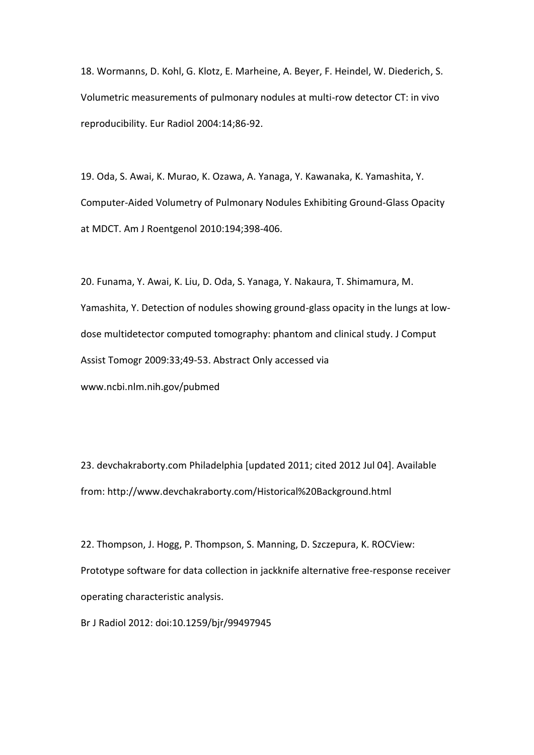18. Wormanns, D. Kohl, G. Klotz, E. Marheine, A. Beyer, F. Heindel, W. Diederich, S. Volumetric measurements of pulmonary nodules at multi-row detector CT: in vivo reproducibility. Eur Radiol 2004:14;86-92.

19. Oda, S. Awai, K. Murao, K. Ozawa, A. Yanaga, Y. Kawanaka, K. Yamashita, Y. Computer-Aided Volumetry of Pulmonary Nodules Exhibiting Ground-Glass Opacity at MDCT. Am J Roentgenol 2010:194;398-406.

20. Funama, Y. Awai, K. Liu, D. Oda, S. Yanaga, Y. Nakaura, T. Shimamura, M. Yamashita, Y. Detection of nodules showing ground-glass opacity in the lungs at lowdose multidetector computed tomography: phantom and clinical study. J Comput Assist Tomogr 2009:33;49-53. Abstract Only accessed via www.ncbi.nlm.nih.gov/pubmed

23. devchakraborty.com Philadelphia [updated 2011; cited 2012 Jul 04]. Available from: http://www.devchakraborty.com/Historical%20Background.html

22. Thompson, J. Hogg, P. Thompson, S. Manning, D. Szczepura, K. ROCView: Prototype software for data collection in jackknife alternative free-response receiver operating characteristic analysis.

Br J Radiol 2012: doi:10.1259/bjr/99497945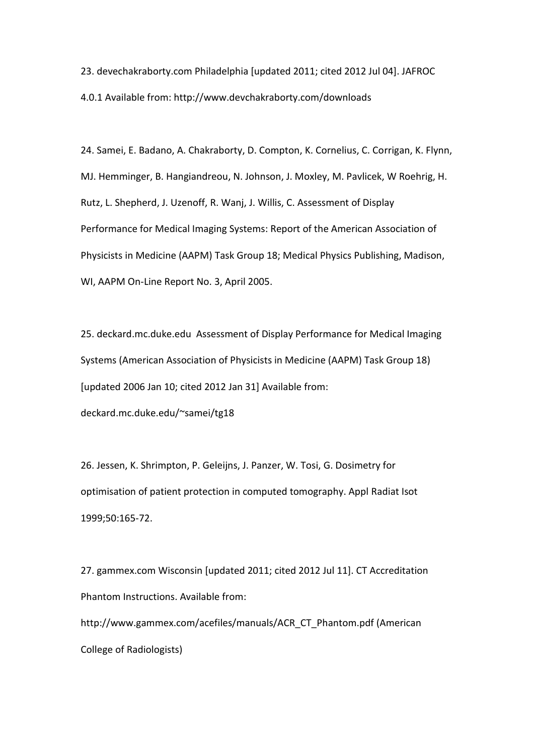23. devechakraborty.com Philadelphia [updated 2011; cited 2012 Jul 04]. JAFROC 4.0.1 Available from: http://www.devchakraborty.com/downloads

24. Samei, E. Badano, A. Chakraborty, D. Compton, K. Cornelius, C. Corrigan, K. Flynn, MJ. Hemminger, B. Hangiandreou, N. Johnson, J. Moxley, M. Pavlicek, W Roehrig, H. Rutz, L. Shepherd, J. Uzenoff, R. Wanj, J. Willis, C. Assessment of Display Performance for Medical Imaging Systems: Report of the American Association of Physicists in Medicine (AAPM) Task Group 18; Medical Physics Publishing, Madison, WI, AAPM On-Line Report No. 3, April 2005.

25. deckard.mc.duke.edu Assessment of Display Performance for Medical Imaging Systems (American Association of Physicists in Medicine (AAPM) Task Group 18) [updated 2006 Jan 10; cited 2012 Jan 31] Available from: deckard.mc.duke.edu/~samei/tg18

26. Jessen, K. Shrimpton, P. Geleijns, J. Panzer, W. Tosi, G. Dosimetry for optimisation of patient protection in computed tomography. Appl Radiat Isot 1999;50:165-72.

27. gammex.com Wisconsin [updated 2011; cited 2012 Jul 11]. CT Accreditation Phantom Instructions. Available from:

http://www.gammex.com/acefiles/manuals/ACR\_CT\_Phantom.pdf (American College of Radiologists)